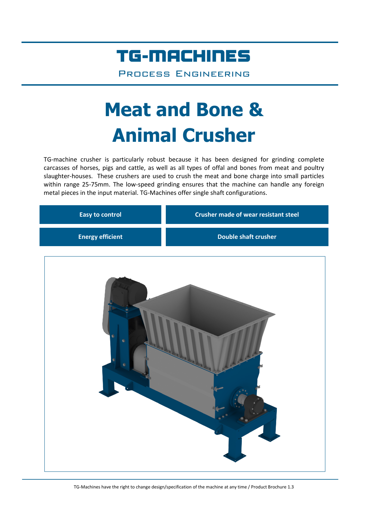## TG-MACHINES

Process Engineering

# **Meat and Bone & Animal Crusher**

TG-machine crusher is particularly robust because it has been designed for grinding complete carcasses of horses, pigs and cattle, as well as all types of offal and bones from meat and poultry slaughter-houses. These crushers are used to crush the meat and bone charge into small particles within range 25-75mm. The low-speed grinding ensures that the machine can handle any foreign metal pieces in the input material. TG-Machines offer single shaft configurations.